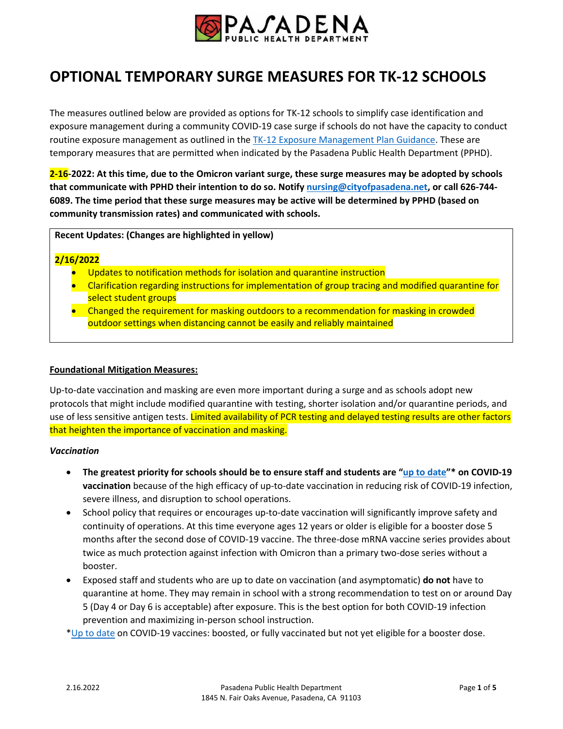

# **OPTIONAL TEMPORARY SURGE MEASURES FOR TK-12 SCHOOLS**

The measures outlined below are provided as options for TK-12 schools to simplify case identification and exposure management during a community COVID-19 case surge if schools do not have the capacity to conduct routine exposure management as outlined in the TK-12 [Exposure Management Plan Guidance.](https://www.cityofpasadena.net/public-health/wp-content/uploads/sites/32/Exposure-management-plan.pdf) These are temporary measures that are permitted when indicated by the Pasadena Public Health Department (PPHD).

**2-16-2022: At this time, due to the Omicron variant surge, these surge measures may be adopted by schools that communicate with PPHD their intention to do so. Notif[y nursing@cityofpasadena.net,](mailto:nursing@cityofpasadena.net) or call 626-744- 6089. The time period that these surge measures may be active will be determined by PPHD (based on community transmission rates) and communicated with schools.**

**Recent Updates: (Changes are highlighted in yellow)**

#### **2/16/2022**

- Updates to notification methods for isolation and quarantine instruction
- Clarification regarding instructions for implementation of group tracing and modified quarantine for select student groups
- Changed the requirement for masking outdoors to a recommendation for masking in crowded outdoor settings when distancing cannot be easily and reliably maintained

#### **Foundational Mitigation Measures:**

Up-to-date vaccination and masking are even more important during a surge and as schools adopt new protocols that might include modified quarantine with testing, shorter isolation and/or quarantine periods, and use of less sensitive antigen tests. Limited availability of PCR testing and delayed testing results are other factors that heighten the importance of vaccination and masking.

#### *Vaccination*

- **The greatest priority for schools should be to ensure staff and students are "[up to date](https://www.cdc.gov/coronavirus/2019-ncov/vaccines/stay-up-to-date.html)"\* on COVID-19 vaccination** because of the high efficacy of up-to-date vaccination in reducing risk of COVID-19 infection, severe illness, and disruption to school operations.
- School policy that requires or encourages up-to-date vaccination will significantly improve safety and continuity of operations. At this time everyone ages 12 years or older is eligible for a booster dose 5 months after the second dose of COVID-19 vaccine. The three-dose mRNA vaccine series provides about twice as much protection against infection with Omicron than a primary two-dose series without a booster.
- Exposed staff and students who are up to date on vaccination (and asymptomatic) **do not** have to quarantine at home. They may remain in school with a strong recommendation to test on or around Day 5 (Day 4 or Day 6 is acceptable) after exposure. This is the best option for both COVID-19 infection prevention and maximizing in-person school instruction.

[\\*Up to date](https://www.cdc.gov/coronavirus/2019-ncov/vaccines/stay-up-to-date.html) on COVID-19 vaccines: boosted, or fully vaccinated but not yet eligible for a booster dose.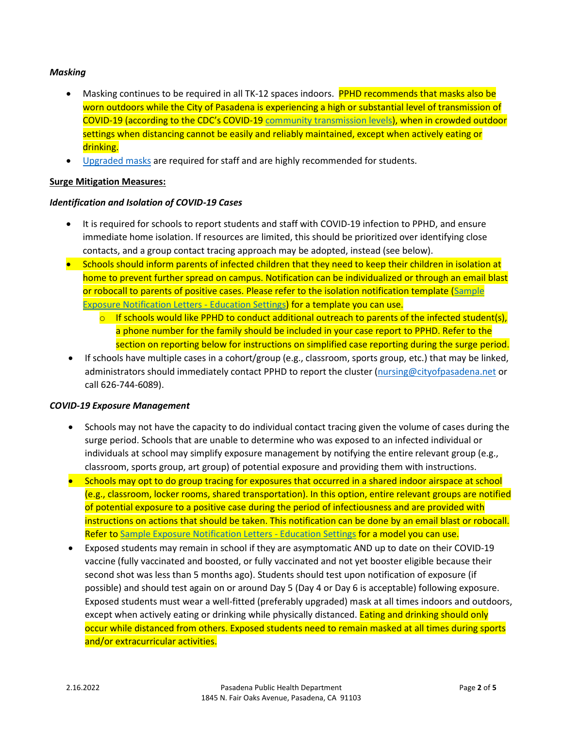## *Masking*

- Masking continues to be required in all TK-12 spaces indoors. PPHD recommends that masks also be worn outdoors while the City of Pasadena is experiencing a high or substantial level of transmission of COVID-19 (according to the CDC's COVID-1[9 community transmission levels\)](https://www.cdc.gov/coronavirus/2019-ncov/more/aboutcovidcountycheck/index.html), when in crowded outdoor settings when distancing cannot be easily and reliably maintained, except when actively eating or drinking.
- **•** [Upgraded masks](https://www.cdc.gov/coronavirus/2019-ncov/prevent-getting-sick/about-face-coverings.html) are required for staff and are highly recommended for students.

#### **Surge Mitigation Measures:**

# *Identification and Isolation of COVID-19 Cases*

- It is required for schools to report students and staff with COVID-19 infection to PPHD, and ensure immediate home isolation. If resources are limited, this should be prioritized over identifying close contacts, and a group contact tracing approach may be adopted, instead (see below).
- Schools should inform parents of infected children that they need to keep their children in isolation at home to prevent further spread on campus. Notification can be individualized or through an email blast or robocall to parents of positive cases. Please refer to the isolation notification template [\(Sample](https://www.cityofpasadena.net/public-health/wp-content/uploads/sites/32/Sample-Notification-Letters-School.docx)  [Exposure Notification Letters -](https://www.cityofpasadena.net/public-health/wp-content/uploads/sites/32/Sample-Notification-Letters-School.docx) Education Settings) for a template you can use.
	- $\circ$  If schools would like PPHD to conduct additional outreach to parents of the infected student(s), a phone number for the family should be included in your case report to PPHD. Refer to the section on reporting below for instructions on simplified case reporting during the surge period.
- If schools have multiple cases in a cohort/group (e.g., classroom, sports group, etc.) that may be linked, administrators should immediately contact PPHD to report the cluster [\(nursing@cityofpasadena.net](mailto:nursing@cityofpasadena.net) or call 626-744-6089).

#### *COVID-19 Exposure Management*

- Schools may not have the capacity to do individual contact tracing given the volume of cases during the surge period. Schools that are unable to determine who was exposed to an infected individual or individuals at school may simplify exposure management by notifying the entire relevant group (e.g., classroom, sports group, art group) of potential exposure and providing them with instructions.
- Schools may opt to do group tracing for exposures that occurred in a shared indoor airspace at school (e.g., classroom, locker rooms, shared transportation). In this option, entire relevant groups are notified of potential exposure to a positive case during the period of infectiousness and are provided with instructions on actions that should be taken. This notification can be done by an email blast or robocall. Refer to [Sample Exposure Notification Letters -](https://www.cityofpasadena.net/public-health/wp-content/uploads/sites/32/Sample-Notification-Letters-School.docx) Education Settings for a model you can use.
- Exposed students may remain in school if they are asymptomatic AND up to date on their COVID-19 vaccine (fully vaccinated and boosted, or fully vaccinated and not yet booster eligible because their second shot was less than 5 months ago). Students should test upon notification of exposure (if possible) and should test again on or around Day 5 (Day 4 or Day 6 is acceptable) following exposure. Exposed students must wear a well-fitted (preferably upgraded) mask at all times indoors and outdoors, except when actively eating or drinking while physically distanced. **Eating and drinking should only** occur while distanced from others. Exposed students need to remain masked at all times during sports and/or extracurricular activities.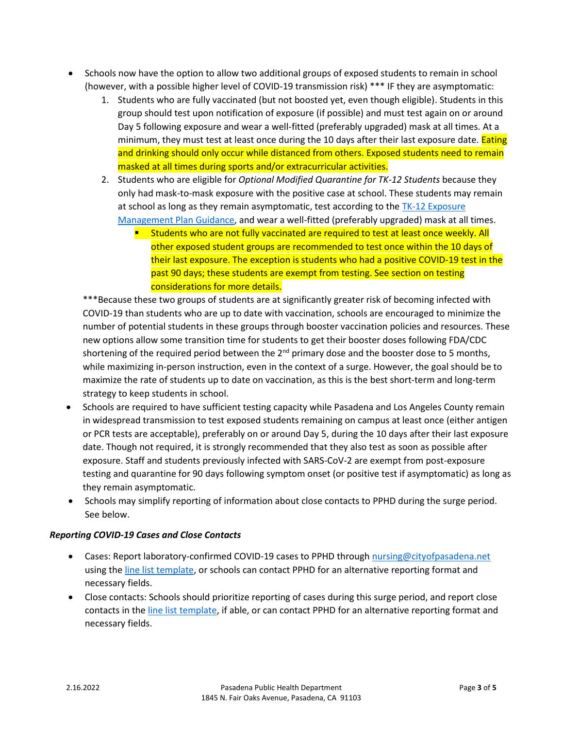- Schools now have the option to allow two additional groups of exposed students to remain in school (however, with a possible higher level of COVID-19 transmission risk) \*\*\* IF they are asymptomatic:
	- 1. Students who are fully vaccinated (but not boosted yet, even though eligible). Students in this group should test upon notification of exposure (if possible) and must test again on or around Day 5 following exposure and wear a well-fitted (preferably upgraded) mask at all times. At a minimum, they must test at least once during the 10 days after their last exposure date. **Eating** and drinking should only occur while distanced from others. Exposed students need to remain masked at all times during sports and/or extracurricular activities.
	- 2. Students who are eligible for *Optional Modified Quarantine for TK-12 Students* because they only had mask-to-mask exposure with the positive case at school. These students may remain at school as long as they remain asymptomatic, test according to the  $TK-12$  Exposure [Management Plan Guidance,](https://www.cityofpasadena.net/public-health/wp-content/uploads/sites/32/Exposure-management-plan.pdf) and wear a well-fitted (preferably upgraded) mask at all times.
		- **Students who are not fully vaccinated are required to test at least once weekly. All** other exposed student groups are recommended to test once within the 10 days of their last exposure. The exception is students who had a positive COVID-19 test in the past 90 days; these students are exempt from testing. See section on testing considerations for more details.

\*\*\*Because these two groups of students are at significantly greater risk of becoming infected with COVID-19 than students who are up to date with vaccination, schools are encouraged to minimize the number of potential students in these groups through booster vaccination policies and resources. These new options allow some transition time for students to get their booster doses following FDA/CDC shortening of the required period between the  $2^{nd}$  primary dose and the booster dose to 5 months, while maximizing in-person instruction, even in the context of a surge. However, the goal should be to maximize the rate of students up to date on vaccination, as this is the best short-term and long-term strategy to keep students in school.

- Schools are required to have sufficient testing capacity while Pasadena and Los Angeles County remain in widespread transmission to test exposed students remaining on campus at least once (either antigen or PCR tests are acceptable), preferably on or around Day 5, during the 10 days after their last exposure date. Though not required, it is strongly recommended that they also test as soon as possible after exposure. Staff and students previously infected with SARS-CoV-2 are exempt from post-exposure testing and quarantine for 90 days following symptom onset (or positive test if asymptomatic) as long as they remain asymptomatic.
- Schools may simplify reporting of information about close contacts to PPHD during the surge period. See below.

# *Reporting COVID-19 Cases and Close Contacts*

- Cases: Report laboratory-confirmed COVID-19 cases to PPHD throug[h nursing@cityofpasadena.net](mailto:nursing@cityofpasadena.net) using the line list [template,](https://www.cityofpasadena.net/public-health/wp-content/uploads/sites/32/COVID-19-Line-List-Template-for-Education-Institutions.xlsx) or schools can contact PPHD for an alternative reporting format and necessary fields.
- Close contacts: Schools should prioritize reporting of cases during this surge period, and report close contacts in the line list [template,](https://www.cityofpasadena.net/public-health/wp-content/uploads/sites/32/COVID-19-Line-List-Template-for-Education-Institutions.xlsx) if able, or can contact PPHD for an alternative reporting format and necessary fields.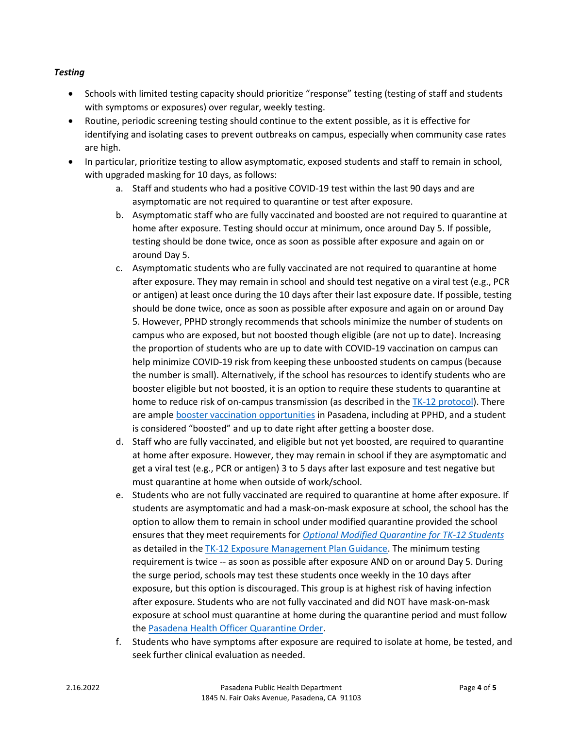# *Testing*

- Schools with limited testing capacity should prioritize "response" testing (testing of staff and students with symptoms or exposures) over regular, weekly testing.
- Routine, periodic screening testing should continue to the extent possible, as it is effective for identifying and isolating cases to prevent outbreaks on campus, especially when community case rates are high.
- In particular, prioritize testing to allow asymptomatic, exposed students and staff to remain in school, with upgraded masking for 10 days, as follows:
	- a. Staff and students who had a positive COVID-19 test within the last 90 days and are asymptomatic are not required to quarantine or test after exposure.
	- b. Asymptomatic staff who are fully vaccinated and boosted are not required to quarantine at home after exposure. Testing should occur at minimum, once around Day 5. If possible, testing should be done twice, once as soon as possible after exposure and again on or around Day 5.
	- c. Asymptomatic students who are fully vaccinated are not required to quarantine at home after exposure. They may remain in school and should test negative on a viral test (e.g., PCR or antigen) at least once during the 10 days after their last exposure date. If possible, testing should be done twice, once as soon as possible after exposure and again on or around Day 5. However, PPHD strongly recommends that schools minimize the number of students on campus who are exposed, but not boosted though eligible (are not up to date). Increasing the proportion of students who are up to date with COVID-19 vaccination on campus can help minimize COVID-19 risk from keeping these unboosted students on campus (because the number is small). Alternatively, if the school has resources to identify students who are booster eligible but not boosted, it is an option to require these students to quarantine at home to reduce risk of on-campus transmission (as described in th[e TK-12 protocol\)](https://www.cityofpasadena.net/public-health/wp-content/uploads/sites/32/Schools-K-12-Reopening-Protocol.pdf?v=1642548367015). There are ampl[e booster vaccination opportunities](https://www.cityofpasadena.net/public-health/covid-19-vaccine/#vaccination-sites) in Pasadena, including at PPHD, and a student is considered "boosted" and up to date right after getting a booster dose.
	- d. Staff who are fully vaccinated, and eligible but not yet boosted, are required to quarantine at home after exposure. However, they may remain in school if they are asymptomatic and get a viral test (e.g., PCR or antigen) 3 to 5 days after last exposure and test negative but must quarantine at home when outside of work/school.
	- e. Students who are not fully vaccinated are required to quarantine at home after exposure. If students are asymptomatic and had a mask-on-mask exposure at school, the school has the option to allow them to remain in school under modified quarantine provided the school ensures that they meet requirements for *[Optional Modified Quarantine for TK-12 Students](https://www.cityofpasadena.net/public-health/wp-content/uploads/sites/32/Exposure-management-plan.pdf#page=7)* as detailed in the [TK-12 Exposure Management Plan Guidance.](https://www.cityofpasadena.net/public-health/wp-content/uploads/sites/32/Exposure-management-plan.pdf?v=1642556293404) The minimum testing requirement is twice -- as soon as possible after exposure AND on or around Day 5. During the surge period, schools may test these students once weekly in the 10 days after exposure, but this option is discouraged. This group is at highest risk of having infection after exposure. Students who are not fully vaccinated and did NOT have mask-on-mask exposure at school must quarantine at home during the quarantine period and must follow th[e Pasadena Health Officer Quarantine Order.](https://www.cityofpasadena.net/public-health/wp-content/uploads/sites/32/Pasadena-Health-Officer-Blanket-Quarantine-Order.pdf?v=1642548259013)
	- f. Students who have symptoms after exposure are required to isolate at home, be tested, and seek further clinical evaluation as needed.